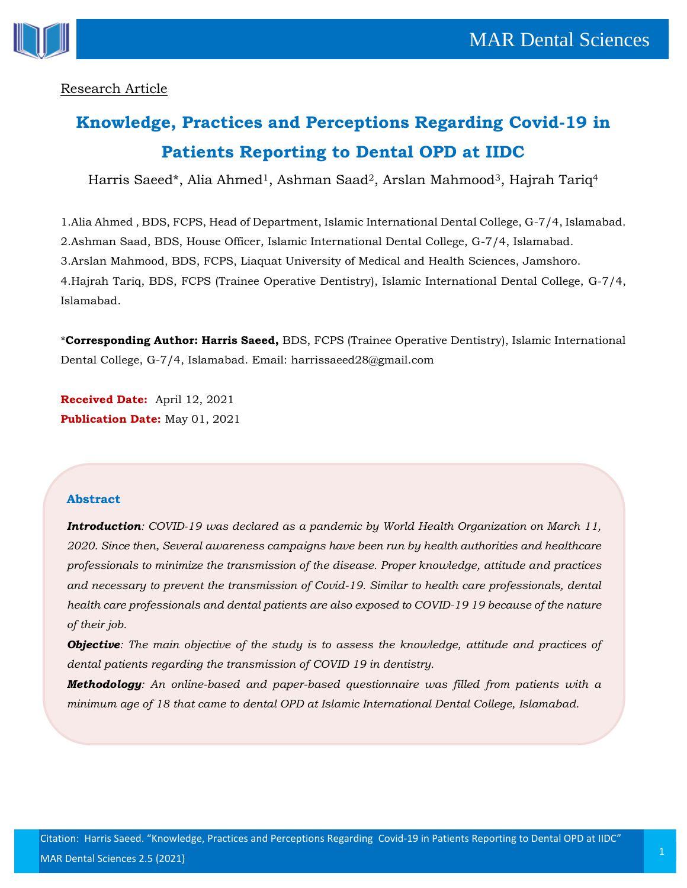

# Research Article

# **Knowledge, Practices and Perceptions Regarding Covid-19 in Patients Reporting to Dental OPD at IIDC**

Harris Saeed\*, Alia Ahmed<sup>1</sup>, Ashman Saad<sup>2</sup>, Arslan Mahmood<sup>3</sup>, Hajrah Tariq<sup>4</sup>

1.Alia Ahmed , BDS, FCPS, Head of Department, Islamic International Dental College, G-7/4, Islamabad. 2.Ashman Saad, BDS, House Officer, Islamic International Dental College, G-7/4, Islamabad. 3.Arslan Mahmood, BDS, FCPS, Liaquat University of Medical and Health Sciences, Jamshoro. 4.Hajrah Tariq, BDS, FCPS (Trainee Operative Dentistry), Islamic International Dental College, G-7/4, Islamabad.

\***Corresponding Author: Harris Saeed,** BDS, FCPS (Trainee Operative Dentistry), Islamic International Dental College, G-7/4, Islamabad. Email: harrissaeed28@gmail.com

**Received Date:** April 12, 2021 **Publication Date:** May 01, 2021

## **Abstract**

*Introduction: COVID-19 was declared as a pandemic by World Health Organization on March 11, 2020. Since then, Several awareness campaigns have been run by health authorities and healthcare professionals to minimize the transmission of the disease. Proper knowledge, attitude and practices and necessary to prevent the transmission of Covid-19. Similar to health care professionals, dental health care professionals and dental patients are also exposed to COVID-19 19 because of the nature of their job.*

*Objective: The main objective of the study is to assess the knowledge, attitude and practices of dental patients regarding the transmission of COVID 19 in dentistry.*

*Methodology: An online-based and paper-based questionnaire was filled from patients with a minimum age of 18 that came to dental OPD at Islamic International Dental College, Islamabad.*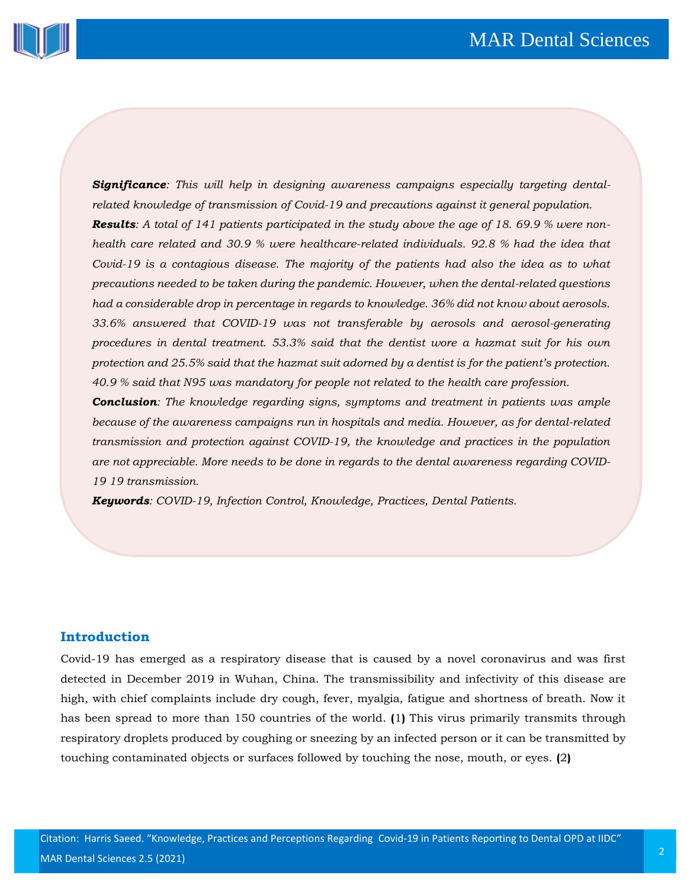

*Significance: This will help in designing awareness campaigns especially targeting dentalrelated knowledge of transmission of Covid-19 and precautions against it general population. Results: A total of 141 patients participated in the study above the age of 18. 69.9 % were nonhealth care related and 30.9 % were healthcare-related individuals. 92.8 % had the idea that Covid-19 is a contagious disease. The majority of the patients had also the idea as to what precautions needed to be taken during the pandemic. However, when the dental-related questions had a considerable drop in percentage in regards to knowledge. 36% did not know about aerosols. 33.6% answered that COVID-19 was not transferable by aerosols and aerosol-generating procedures in dental treatment. 53.3% said that the dentist wore a hazmat suit for his own protection and 25.5% said that the hazmat suit adorned by a dentist is for the patient's protection. 40.9 % said that N95 was mandatory for people not related to the health care profession.*

*Conclusion: The knowledge regarding signs, symptoms and treatment in patients was ample because of the awareness campaigns run in hospitals and media. However, as for dental-related transmission and protection against COVID-19, the knowledge and practices in the population are not appreciable. More needs to be done in regards to the dental awareness regarding COVID-19 19 transmission.*

*Keywords: COVID-19, Infection Control, Knowledge, Practices, Dental Patients.*

#### **Introduction**

Covid-19 has emerged as a respiratory disease that is caused by a novel coronavirus and was first detected in December 2019 in Wuhan, China. The transmissibility and infectivity of this disease are high, with chief complaints include dry cough, fever, myalgia, fatigue and shortness of breath. Now it has been spread to more than 150 countries of the world. **(**1**)** This virus primarily transmits through respiratory droplets produced by coughing or sneezing by an infected person or it can be transmitted by touching contaminated objects or surfaces followed by touching the nose, mouth, or eyes. **(**2**)**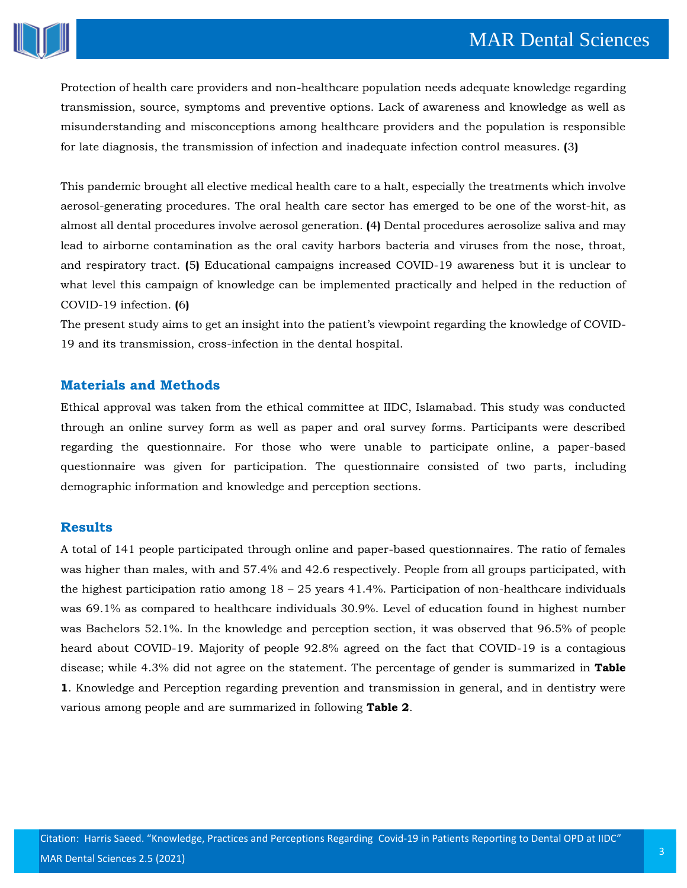

Protection of health care providers and non-healthcare population needs adequate knowledge regarding transmission, source, symptoms and preventive options. Lack of awareness and knowledge as well as misunderstanding and misconceptions among healthcare providers and the population is responsible for late diagnosis, the transmission of infection and inadequate infection control measures. **(**3**)**

This pandemic brought all elective medical health care to a halt, especially the treatments which involve aerosol-generating procedures. The oral health care sector has emerged to be one of the worst-hit, as almost all dental procedures involve aerosol generation. **(**4**)** Dental procedures aerosolize saliva and may lead to airborne contamination as the oral cavity harbors bacteria and viruses from the nose, throat, and respiratory tract. **(**5**)** Educational campaigns increased COVID-19 awareness but it is unclear to what level this campaign of knowledge can be implemented practically and helped in the reduction of COVID-19 infection. **(**6**)**

The present study aims to get an insight into the patient's viewpoint regarding the knowledge of COVID-19 and its transmission, cross-infection in the dental hospital.

#### **Materials and Methods**

Ethical approval was taken from the ethical committee at IIDC, Islamabad. This study was conducted through an online survey form as well as paper and oral survey forms. Participants were described regarding the questionnaire. For those who were unable to participate online, a paper-based questionnaire was given for participation. The questionnaire consisted of two parts, including demographic information and knowledge and perception sections.

#### **Results**

A total of 141 people participated through online and paper-based questionnaires. The ratio of females was higher than males, with and 57.4% and 42.6 respectively. People from all groups participated, with the highest participation ratio among  $18 - 25$  years 41.4%. Participation of non-healthcare individuals was 69.1% as compared to healthcare individuals 30.9%. Level of education found in highest number was Bachelors 52.1%. In the knowledge and perception section, it was observed that 96.5% of people heard about COVID-19. Majority of people 92.8% agreed on the fact that COVID-19 is a contagious disease; while 4.3% did not agree on the statement. The percentage of gender is summarized in **Table 1**. Knowledge and Perception regarding prevention and transmission in general, and in dentistry were various among people and are summarized in following **Table 2**.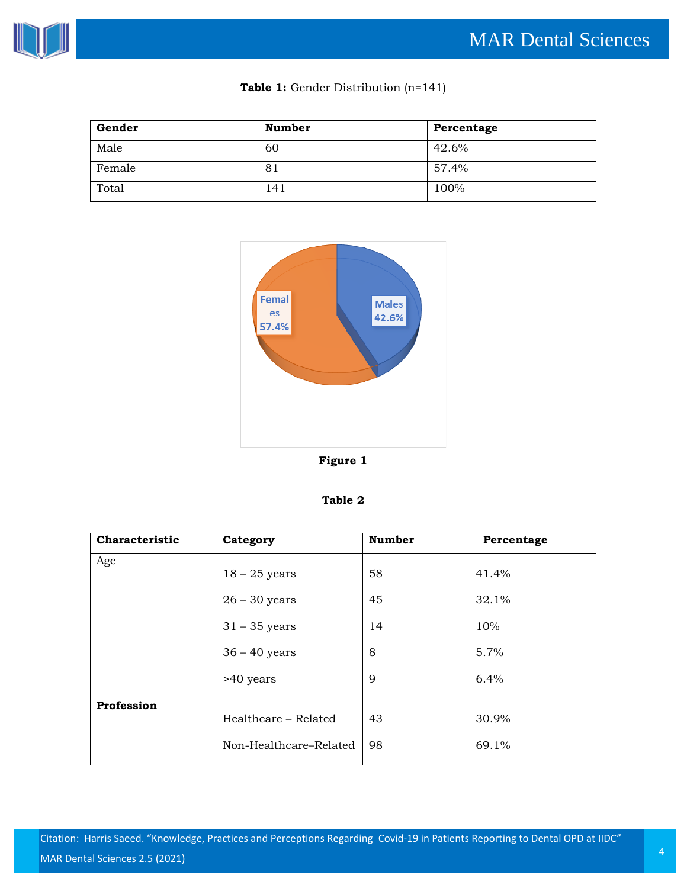

| Gender | <b>Number</b> | Percentage |
|--------|---------------|------------|
| Male   | 60            | 42.6%      |
| Female | 81            | 57.4%      |
| Total  | 141           | 100%       |



| `able |  |
|-------|--|
|-------|--|

| Characteristic | Category               | <b>Number</b> | Percentage |
|----------------|------------------------|---------------|------------|
| Age            | $18 - 25$ years        | 58            | 41.4%      |
|                | $26 - 30$ years        | 45            | 32.1%      |
|                | $31 - 35$ years        | 14            | 10%        |
|                | $36 - 40$ years        | 8             | 5.7%       |
|                | >40 years              | 9             | 6.4%       |
| Profession     | Healthcare - Related   | 43            | 30.9%      |
|                | Non-Healthcare-Related | 98            | 69.1%      |

Citation: Harris Saeed. "Knowledge, Practices and Perceptions Regarding Covid-19 in Patients Reporting to Dental OPD at IIDC"  $\,$  MAR Dental Sciences 2.5 (2021) $\,$   $\,$ 

# **Table 1:** Gender Distribution (n=141)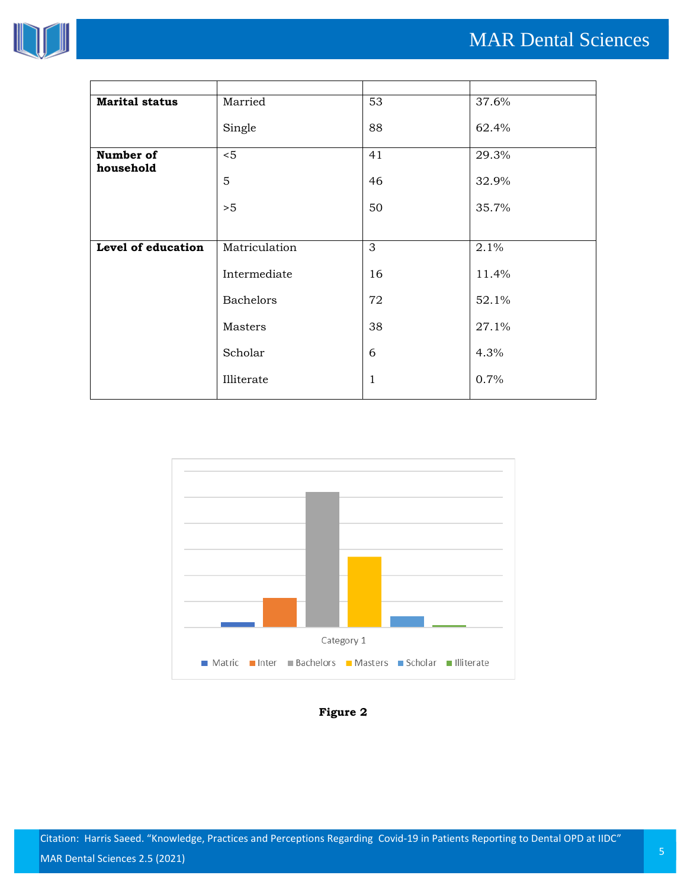

| <b>Marital status</b> | Married          | 53           | 37.6% |
|-----------------------|------------------|--------------|-------|
|                       | Single           | 88           | 62.4% |
| Number of             | < 5              | 41           | 29.3% |
|                       | 5                | 46           | 32.9% |
|                       | >5               | 50           | 35.7% |
|                       |                  |              |       |
| Level of education    | Matriculation    | 3            | 2.1%  |
|                       | Intermediate     | 16           | 11.4% |
|                       | <b>Bachelors</b> | 72           | 52.1% |
|                       | Masters          | 38           | 27.1% |
|                       | Scholar          | 6            | 4.3%  |
|                       | Illiterate       | $\mathbf{1}$ | 0.7%  |
| household             |                  |              |       |



**Figure 2**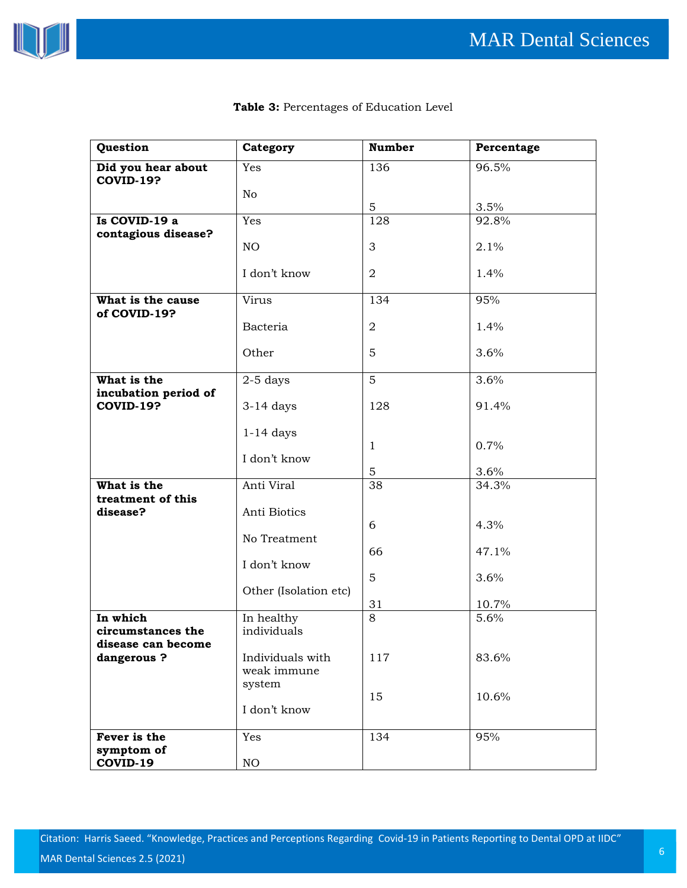

| Question                               | Category       | <b>Number</b> | Percentage |
|----------------------------------------|----------------|---------------|------------|
| Did you hear about<br><b>COVID-19?</b> | Yes            | 136           | 96.5%      |
|                                        | N <sub>o</sub> | 5             | 3.5%       |
| Is COVID-19 a<br>contagious disease?   | Yes            | 128           | 92.8%      |
|                                        | NO.            | 3             | 2.1%       |
|                                        | I don't know   | 2             | 1.4%       |
| What is the cause<br>of COVID-19?      | Virus          | 134           | 95%        |
|                                        | Bacteria       | 2             | 1.4%       |
|                                        | Other          | 5             | 3.6%       |
| What is the<br>incubation period of    | $2-5$ days     | 5             | 3.6%       |
| <b>COVID-19?</b>                       | $3-14$ days    | 128           | 91.4%      |
|                                        | $1-14$ days    | $\mathbf{1}$  | 0.7%       |
|                                        | I don't know   | 5             | 3.6%       |
| What is the<br>treatment of this       | Anti Viral     | 38            | 34.3%      |
| disease?                               | Anti Biotics   | 6             | 4.3%       |
|                                        | No Treatment   |               |            |
|                                        |                | 66            | 47.1%      |

### **Table 3:** Percentages of Education Level

| dangerous?                 | Individuals with<br>weak immune<br>system | 117 | 83.6% |
|----------------------------|-------------------------------------------|-----|-------|
|                            | I don't know                              | 15  | 10.6% |
| Fever is the<br>symptom of | Yes                                       | 134 | 95%   |
| COVID-19                   | NO.                                       |     |       |

5

3.6%

10.7%

5.6%

31

8

I don't know

In healthy individuals

**In which** 

**circumstances the disease can become**  Other (Isolation etc)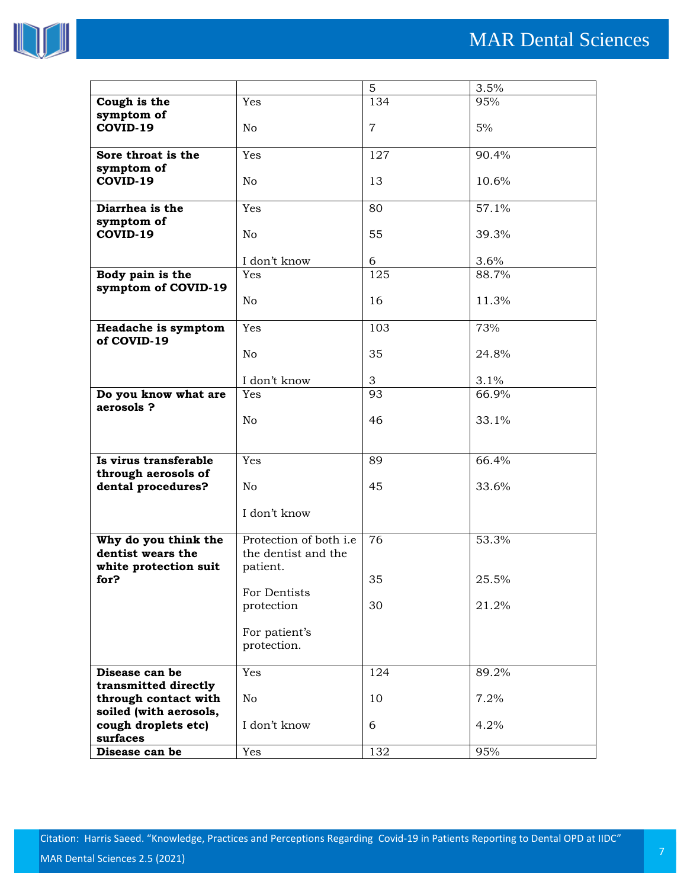

|                                                |                        | 5              | 3.5%     |
|------------------------------------------------|------------------------|----------------|----------|
| Cough is the                                   | Yes                    | 134            | 95%      |
| symptom of                                     |                        |                |          |
| COVID-19                                       | No                     | $\overline{7}$ | 5%       |
|                                                |                        |                |          |
| Sore throat is the                             | Yes                    | 127            | 90.4%    |
| symptom of                                     |                        |                |          |
| COVID-19                                       | No                     | 13             | 10.6%    |
|                                                |                        |                |          |
| Diarrhea is the                                | Yes                    | 80             | 57.1%    |
| symptom of                                     |                        |                |          |
| COVID-19                                       | No                     | 55             | 39.3%    |
|                                                |                        |                |          |
|                                                | I don't know           | 6              | 3.6%     |
| Body pain is the                               | Yes                    | 125            | 88.7%    |
| symptom of COVID-19                            |                        |                |          |
|                                                | No                     | 16             | 11.3%    |
| Headache is symptom                            | Yes                    | 103            | 73%      |
| of COVID-19                                    |                        |                |          |
|                                                | No                     | 35             | 24.8%    |
|                                                |                        |                |          |
|                                                | I don't know           | 3              | 3.1%     |
| Do you know what are                           | Yes                    | 93             | 66.9%    |
| aerosols?                                      |                        |                |          |
|                                                | N <sub>0</sub>         | 46             | 33.1%    |
|                                                |                        |                |          |
|                                                |                        |                |          |
| Is virus transferable                          | Yes                    | 89             | 66.4%    |
| through aerosols of                            |                        |                |          |
| dental procedures?                             | No                     | 45             | 33.6%    |
|                                                |                        |                |          |
|                                                | I don't know           |                |          |
|                                                |                        |                |          |
| Why do you think the                           | Protection of both i.e | 76             | 53.3%    |
| dentist wears the                              | the dentist and the    |                |          |
| white protection suit                          | patient.               |                |          |
| for?                                           |                        | 35             | $25.5\%$ |
|                                                | For Dentists           |                |          |
|                                                | protection             | 30             | 21.2%    |
|                                                |                        |                |          |
|                                                | For patient's          |                |          |
|                                                | protection.            |                |          |
|                                                |                        |                |          |
| Disease can be                                 | Yes                    | 124            | 89.2%    |
| transmitted directly                           |                        |                |          |
| through contact with<br>soiled (with aerosols, | No                     | 10             | 7.2%     |
|                                                | I don't know           | 6              | 4.2%     |
| cough droplets etc)<br>surfaces                |                        |                |          |
| Disease can be                                 | Yes                    | 132            | 95%      |
|                                                |                        |                |          |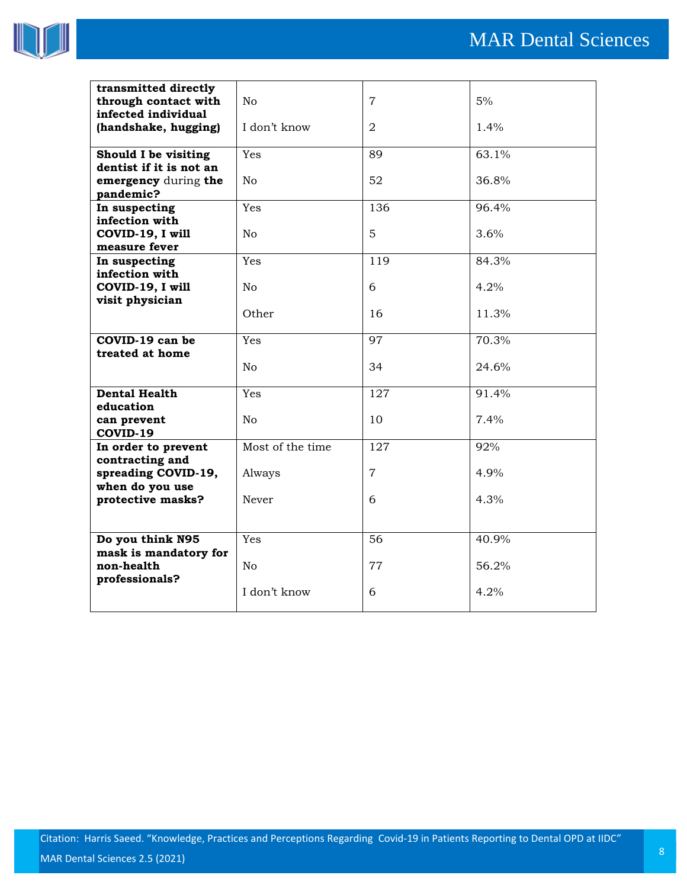

| transmitted directly<br>through contact with<br>infected individual | No               | $\overline{7}$ | 5%    |
|---------------------------------------------------------------------|------------------|----------------|-------|
| (handshake, hugging)                                                | I don't know     | $\overline{2}$ | 1.4%  |
| Should I be visiting<br>dentist if it is not an                     | Yes              | 89             | 63.1% |
| emergency during the<br>pandemic?                                   | No               | 52             | 36.8% |
| In suspecting<br>infection with                                     | Yes              | 136            | 96.4% |
| COVID-19, I will<br>measure fever                                   | N <sub>0</sub>   | 5              | 3.6%  |
| In suspecting                                                       | Yes              | 119            | 84.3% |
| infection with<br>COVID-19, I will<br>visit physician               | No               | 6              | 4.2%  |
|                                                                     | Other            | 16             | 11.3% |
| COVID-19 can be<br>treated at home                                  | Yes              | 97             | 70.3% |
|                                                                     | N <sub>o</sub>   | 34             | 24.6% |
| <b>Dental Health</b><br>education                                   | Yes              | 127            | 91.4% |
| can prevent<br>COVID-19                                             | No               | 10             | 7.4%  |
| In order to prevent<br>contracting and                              | Most of the time | 127            | 92%   |
| spreading COVID-19,<br>when do you use                              | Always           | $\overline{7}$ | 4.9%  |
| protective masks?                                                   | <b>Never</b>     | 6              | 4.3%  |
|                                                                     |                  |                |       |
| Do you think N95<br>mask is mandatory for                           | Yes              | 56             | 40.9% |
| non-health<br>professionals?                                        | No               | 77             | 56.2% |
|                                                                     | I don't know     | 6              | 4.2%  |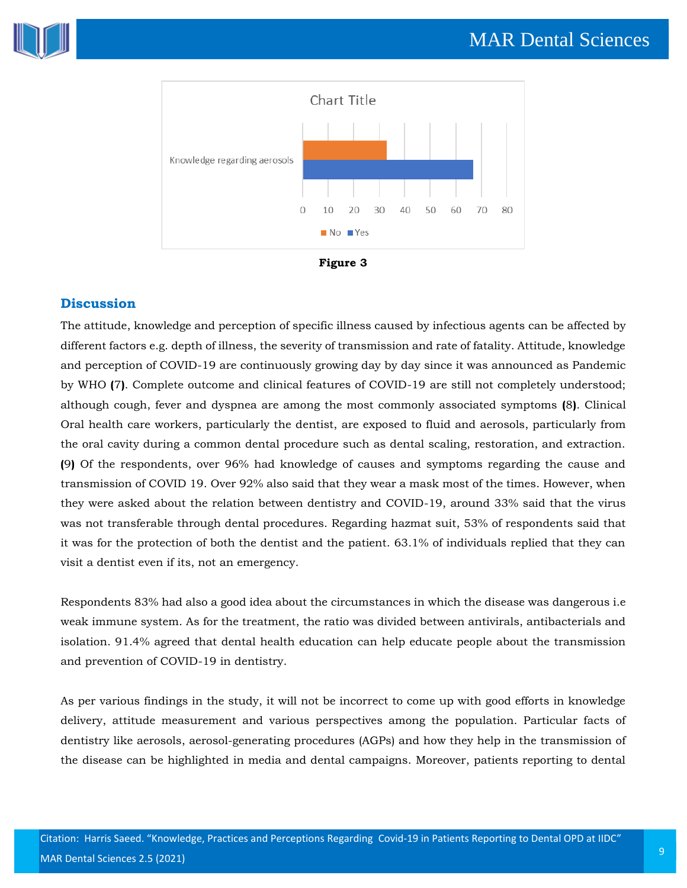





## **Discussion**

The attitude, knowledge and perception of specific illness caused by infectious agents can be affected by different factors e.g. depth of illness, the severity of transmission and rate of fatality. Attitude, knowledge and perception of COVID-19 are continuously growing day by day since it was announced as Pandemic by WHO **(**7**)**. Complete outcome and clinical features of COVID-19 are still not completely understood; although cough, fever and dyspnea are among the most commonly associated symptoms **(**8**)**. Clinical Oral health care workers, particularly the dentist, are exposed to fluid and aerosols, particularly from the oral cavity during a common dental procedure such as dental scaling, restoration, and extraction. **(**9**)** Of the respondents, over 96% had knowledge of causes and symptoms regarding the cause and transmission of COVID 19. Over 92% also said that they wear a mask most of the times. However, when they were asked about the relation between dentistry and COVID-19, around 33% said that the virus was not transferable through dental procedures. Regarding hazmat suit, 53% of respondents said that it was for the protection of both the dentist and the patient. 63.1% of individuals replied that they can visit a dentist even if its, not an emergency.

Respondents 83% had also a good idea about the circumstances in which the disease was dangerous i.e weak immune system. As for the treatment, the ratio was divided between antivirals, antibacterials and isolation. 91.4% agreed that dental health education can help educate people about the transmission and prevention of COVID-19 in dentistry.

As per various findings in the study, it will not be incorrect to come up with good efforts in knowledge delivery, attitude measurement and various perspectives among the population. Particular facts of dentistry like aerosols, aerosol-generating procedures (AGPs) and how they help in the transmission of the disease can be highlighted in media and dental campaigns. Moreover, patients reporting to dental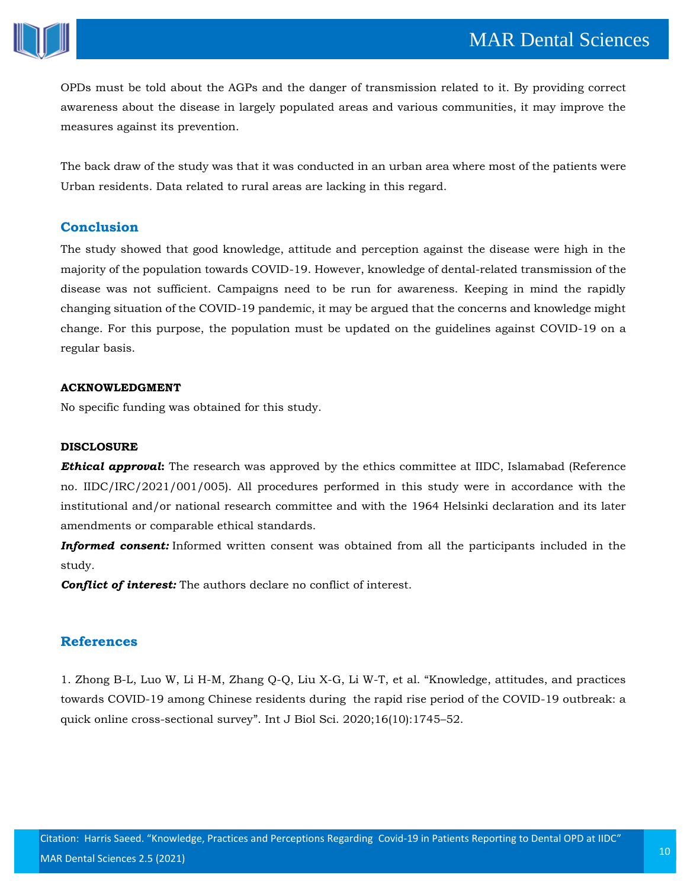

OPDs must be told about the AGPs and the danger of transmission related to it. By providing correct awareness about the disease in largely populated areas and various communities, it may improve the measures against its prevention.

The back draw of the study was that it was conducted in an urban area where most of the patients were Urban residents. Data related to rural areas are lacking in this regard.

## **Conclusion**

The study showed that good knowledge, attitude and perception against the disease were high in the majority of the population towards COVID-19. However, knowledge of dental-related transmission of the disease was not sufficient. Campaigns need to be run for awareness. Keeping in mind the rapidly changing situation of the COVID-19 pandemic, it may be argued that the concerns and knowledge might change. For this purpose, the population must be updated on the guidelines against COVID-19 on a regular basis.

#### **ACKNOWLEDGMENT**

No specific funding was obtained for this study.

#### **DISCLOSURE**

*Ethical approval***:** The research was approved by the ethics committee at IIDC, Islamabad (Reference no. IIDC/IRC/2021/001/005). All procedures performed in this study were in accordance with the institutional and/or national research committee and with the 1964 Helsinki declaration and its later amendments or comparable ethical standards.

*Informed consent:* Informed written consent was obtained from all the participants included in the study*.*

*Conflict of interest:* The authors declare no conflict of interest.

# **References**

1. [Zhong B-L, Luo W, Li H-M, Zhang Q-Q, Liu X-G, Li W-T, et al.](https://www.google.com/search?q=Knowledge%2C+attitudes%2C+and+practices+towards+COVID-19+among+Chinese+residents+during++the+rapid+rise+period+of+the+COVID-19+outbreak%3A+a+quick+online+cross-sectional+survey&sxsrf=ALeKk0339Lll6BS808a3z_zxba9rzcFBzA%3A1618890299982&ei=O05-YNi1O-fC3LUP3v-agAI&oq=Knowledge%2C+attitudes%2C+and+practices+towards+COVID-19+among+Chinese+residents+during++the+rapid+rise+period+of+the+COVID-19+outbreak%3A+a+quick+online+cross-sectional+survey&gs_lcp=Cgdnd3Mtd2l6EAMyBwgjEOoCECcyBwgjEOoCECcyBwgjEOoCECcyBwgjEOoCECcyBwgjEOoCECcyBwgjEOoCECcyBwgjEOoCECcyBwgjEOoCECcyBwgjEOoCECcyBwgjEOoCECdQuVZYuVZg9VdoAXACeACAAQCIAQCSAQCYAQGgAQGgAQKqAQdnd3Mtd2l6sAEKwAEB&sclient=gws-wiz&ved=0ahUKEwiYv4qq9IvwAhVnIbcAHd6_BiAQ4dUDCA4&uact=5) "Knowledge, attitudes, and practices [towards COVID-19 among Chinese residents during the rapid rise period of the COVID-19 outbreak: a](https://www.google.com/search?q=Knowledge%2C+attitudes%2C+and+practices+towards+COVID-19+among+Chinese+residents+during++the+rapid+rise+period+of+the+COVID-19+outbreak%3A+a+quick+online+cross-sectional+survey&sxsrf=ALeKk0339Lll6BS808a3z_zxba9rzcFBzA%3A1618890299982&ei=O05-YNi1O-fC3LUP3v-agAI&oq=Knowledge%2C+attitudes%2C+and+practices+towards+COVID-19+among+Chinese+residents+during++the+rapid+rise+period+of+the+COVID-19+outbreak%3A+a+quick+online+cross-sectional+survey&gs_lcp=Cgdnd3Mtd2l6EAMyBwgjEOoCECcyBwgjEOoCECcyBwgjEOoCECcyBwgjEOoCECcyBwgjEOoCECcyBwgjEOoCECcyBwgjEOoCECcyBwgjEOoCECcyBwgjEOoCECcyBwgjEOoCECdQuVZYuVZg9VdoAXACeACAAQCIAQCSAQCYAQGgAQGgAQKqAQdnd3Mtd2l6sAEKwAEB&sclient=gws-wiz&ved=0ahUKEwiYv4qq9IvwAhVnIbcAHd6_BiAQ4dUDCA4&uact=5)  [quick online cross-sectional survey](https://www.google.com/search?q=Knowledge%2C+attitudes%2C+and+practices+towards+COVID-19+among+Chinese+residents+during++the+rapid+rise+period+of+the+COVID-19+outbreak%3A+a+quick+online+cross-sectional+survey&sxsrf=ALeKk0339Lll6BS808a3z_zxba9rzcFBzA%3A1618890299982&ei=O05-YNi1O-fC3LUP3v-agAI&oq=Knowledge%2C+attitudes%2C+and+practices+towards+COVID-19+among+Chinese+residents+during++the+rapid+rise+period+of+the+COVID-19+outbreak%3A+a+quick+online+cross-sectional+survey&gs_lcp=Cgdnd3Mtd2l6EAMyBwgjEOoCECcyBwgjEOoCECcyBwgjEOoCECcyBwgjEOoCECcyBwgjEOoCECcyBwgjEOoCECcyBwgjEOoCECcyBwgjEOoCECcyBwgjEOoCECcyBwgjEOoCECdQuVZYuVZg9VdoAXACeACAAQCIAQCSAQCYAQGgAQGgAQKqAQdnd3Mtd2l6sAEKwAEB&sclient=gws-wiz&ved=0ahUKEwiYv4qq9IvwAhVnIbcAHd6_BiAQ4dUDCA4&uact=5)". Int J Biol Sci. 2020;16(10):1745–52.